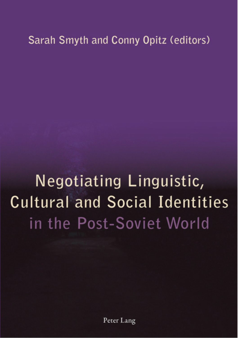## Sarah Smyth and Conny Opitz (editors)

## Negotiating Linguistic, **Cultural and Social Identities** in the Post-Soviet World

Peter Lang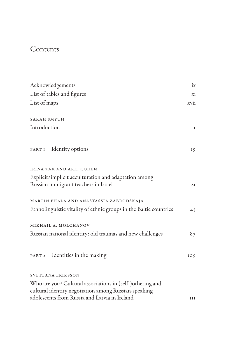## Contents

| Acknowledgements                                                                                                  | ix   |
|-------------------------------------------------------------------------------------------------------------------|------|
| List of tables and figures                                                                                        | xi   |
| List of maps                                                                                                      | xvii |
| SARAH SMYTH                                                                                                       |      |
| Introduction                                                                                                      | I    |
| PART I Identity options                                                                                           | 19   |
| IRINA ZAK AND ARIE COHEN                                                                                          |      |
| Explicit/implicit acculturation and adaptation among<br>Russian immigrant teachers in Israel                      | 2I   |
| MARTIN EHALA AND ANASTASSIA ZABRODSKAJA                                                                           |      |
| Ethnolinguistic vitality of ethnic groups in the Baltic countries                                                 | 45   |
| MIKHAIL A. MOLCHANOV                                                                                              |      |
| Russian national identity: old traumas and new challenges                                                         | 87   |
| PART 2 Identities in the making                                                                                   | IO9  |
| SVETLANA ERIKSSON                                                                                                 |      |
| Who are you? Cultural associations in (self-)othering and<br>cultural identity negotiation among Russian-speaking |      |
| adolescents from Russia and Latvia in Ireland                                                                     | III  |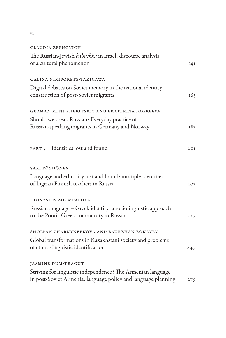## Claudia Zbenovich

| The Russian-Jewish babushka in Israel: discourse analysis<br>of a cultural phenomenon                                        | 14I |
|------------------------------------------------------------------------------------------------------------------------------|-----|
| GALINA NIKIPORETS-TAKIGAWA                                                                                                   |     |
| Digital debates on Soviet memory in the national identity<br>construction of post-Soviet migrants                            | 163 |
| GERMAN MENDZHERITSKIY AND EKATERINA BAGREEVA                                                                                 |     |
| Should we speak Russian? Everyday practice of                                                                                |     |
| Russian-speaking migrants in Germany and Norway                                                                              | 183 |
| PART 3 Identities lost and found                                                                                             | 2OI |
| SARI PÖYHÖNEN                                                                                                                |     |
| Language and ethnicity lost and found: multiple identities<br>of Ingrian Finnish teachers in Russia                          | 203 |
| DIONYSIOS ZOUMPALIDIS                                                                                                        |     |
| Russian language - Greek identity: a sociolinguistic approach<br>to the Pontic Greek community in Russia                     | 227 |
| SHOLPAN ZHARKYNBEKOVA AND BAURZHAN BOKAYEV                                                                                   |     |
| Global transformations in Kazakhstani society and problems<br>of ethno-linguistic identification                             | 247 |
| JASMINE DUM-TRAGUT                                                                                                           |     |
| Striving for linguistic independence? The Armenian language<br>in post-Soviet Armenia: language policy and language planning | 279 |

vi